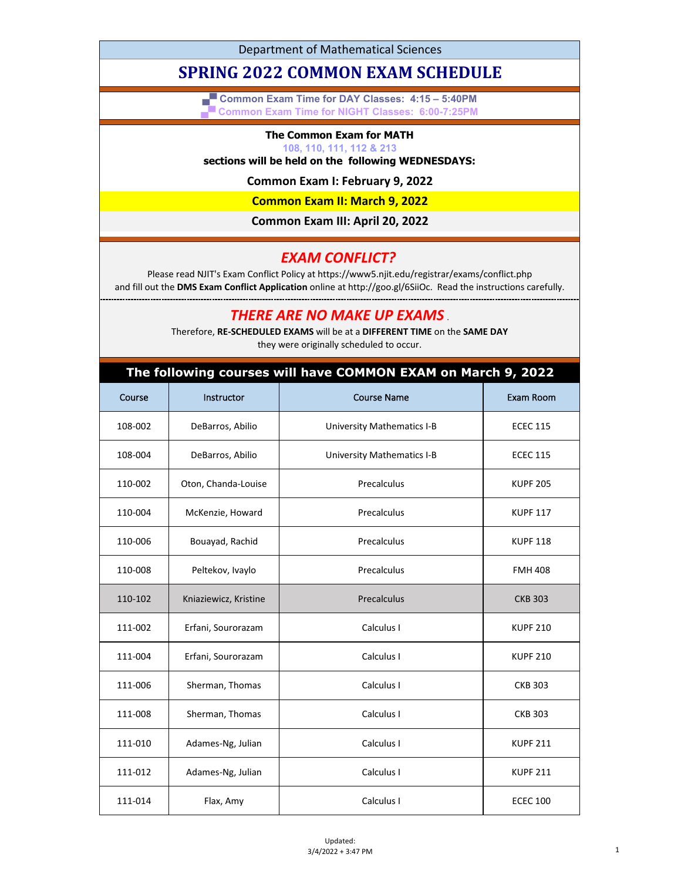Department of Mathematical Sciences

# **SPRING 2022 COMMON EXAM SCHEDULE**

**▄▀ Common Exam Time for DAY Classes: 4:15 – 5:40PM ▄▀ Common Exam Time for NIGHT Classes: 6:00-7:25PM**

#### **The Common Exam for MATH**

#### **108, 110, 111, 112 & 213**

### **sections will be held on the following WEDNESDAYS:**

**Common Exam I: February 9, 2022**

**Common Exam II: March 9, 2022**

**Common Exam III: April 20, 2022**

## *EXAM CONFLICT?*

Please read NJIT's Exam Conflict Policy at https://www5.njit.edu/registrar/exams/conflict.php and fill out the **DMS Exam Conflict Application** online at http://goo.gl/6SiiOc. Read the instructions carefully.

*THERE ARE NO MAKE UP EXAMS* .

Therefore, **RE-SCHEDULED EXAMS** will be at a **DIFFERENT TIME** on the **SAME DAY** they were originally scheduled to occur.

#### **The following courses will have COMMON EXAM on March 9, 2022**

| Course  | Instructor            | <b>Course Name</b>                | Exam Room       |
|---------|-----------------------|-----------------------------------|-----------------|
| 108-002 | DeBarros, Abilio      | <b>University Mathematics I-B</b> | <b>ECEC 115</b> |
| 108-004 | DeBarros, Abilio      | <b>University Mathematics I-B</b> | <b>ECEC 115</b> |
| 110-002 | Oton, Chanda-Louise   | Precalculus                       | <b>KUPF 205</b> |
| 110-004 | McKenzie, Howard      | Precalculus                       | <b>KUPF 117</b> |
| 110-006 | Bouayad, Rachid       | Precalculus                       | <b>KUPF 118</b> |
| 110-008 | Peltekov, Ivaylo      | Precalculus                       | <b>FMH 408</b>  |
| 110-102 | Kniaziewicz, Kristine | Precalculus                       | <b>CKB 303</b>  |
| 111-002 | Erfani, Sourorazam    | Calculus I                        | <b>KUPF 210</b> |
| 111-004 | Erfani, Sourorazam    | Calculus I                        | <b>KUPF 210</b> |
| 111-006 | Sherman, Thomas       | Calculus I                        | <b>CKB 303</b>  |
| 111-008 | Sherman, Thomas       | Calculus I                        | <b>CKB 303</b>  |
| 111-010 | Adames-Ng, Julian     | Calculus I                        | <b>KUPF 211</b> |
| 111-012 | Adames-Ng, Julian     | Calculus I                        | <b>KUPF 211</b> |
| 111-014 | Flax, Amy             | Calculus I                        | <b>ECEC 100</b> |